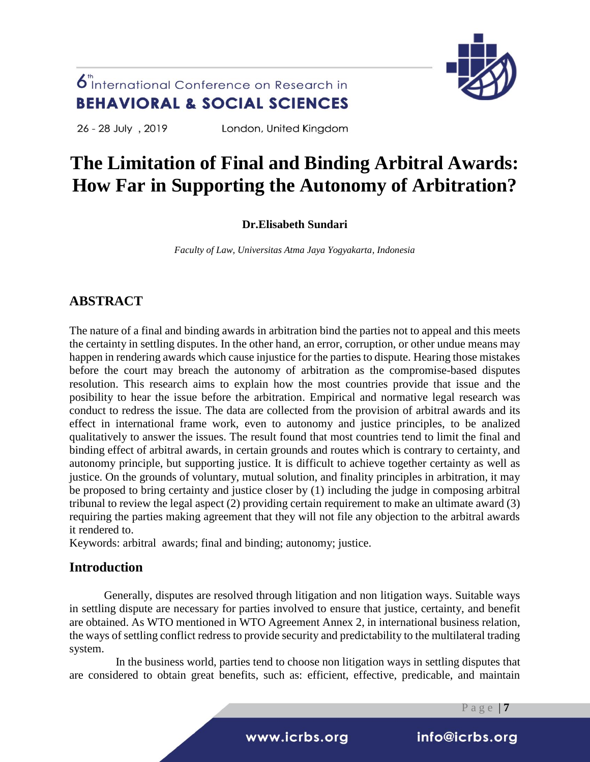

26 - 28 July , 2019

London, United Kingdom

# **The Limitation of Final and Binding Arbitral Awards: How Far in Supporting the Autonomy of Arbitration?**

### **Dr.Elisabeth Sundari**

*Faculty of Law, Universitas Atma Jaya Yogyakarta, Indonesia*

### **ABSTRACT**

The nature of a final and binding awards in arbitration bind the parties not to appeal and this meets the certainty in settling disputes. In the other hand, an error, corruption, or other undue means may happen in rendering awards which cause injustice for the parties to dispute. Hearing those mistakes before the court may breach the autonomy of arbitration as the compromise-based disputes resolution. This research aims to explain how the most countries provide that issue and the posibility to hear the issue before the arbitration. Empirical and normative legal research was conduct to redress the issue. The data are collected from the provision of arbitral awards and its effect in international frame work, even to autonomy and justice principles, to be analized qualitatively to answer the issues. The result found that most countries tend to limit the final and binding effect of arbitral awards, in certain grounds and routes which is contrary to certainty, and autonomy principle, but supporting justice. It is difficult to achieve together certainty as well as justice. On the grounds of voluntary, mutual solution, and finality principles in arbitration, it may be proposed to bring certainty and justice closer by (1) including the judge in composing arbitral tribunal to review the legal aspect (2) providing certain requirement to make an ultimate award (3) requiring the parties making agreement that they will not file any objection to the arbitral awards it rendered to.

Keywords: arbitral awards; final and binding; autonomy; justice.

### **Introduction**

Generally, disputes are resolved through litigation and non litigation ways. Suitable ways in settling dispute are necessary for parties involved to ensure that justice, certainty, and benefit are obtained. As WTO mentioned in WTO Agreement Annex 2, in international business relation, the ways of settling conflict redress to provide security and predictability to the multilateral trading system.

In the business world, parties tend to choose non litigation ways in settling disputes that are considered to obtain great benefits, such as: efficient, effective, predicable, and maintain

P a g e | **7**

i www.icrbs.org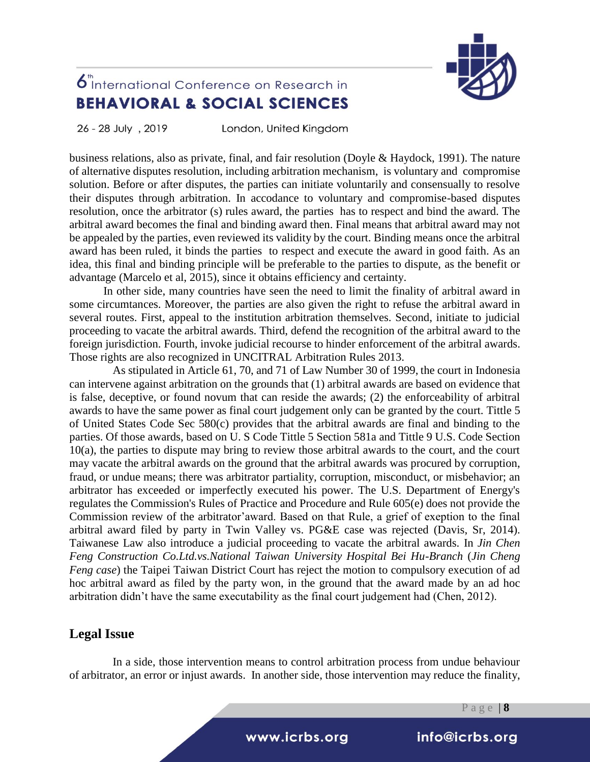

26 - 28 July , 2019

London, United Kingdom

business relations, also as private, final, and fair resolution (Doyle & Haydock, 1991). The nature of alternative disputes resolution, including arbitration mechanism, is voluntary and compromise solution. Before or after disputes, the parties can initiate voluntarily and consensually to resolve their disputes through arbitration. In accodance to voluntary and compromise-based disputes resolution, once the arbitrator (s) rules award, the parties has to respect and bind the award. The arbitral award becomes the final and binding award then. Final means that arbitral award may not be appealed by the parties, even reviewed its validity by the court. Binding means once the arbitral award has been ruled, it binds the parties to respect and execute the award in good faith. As an idea, this final and binding principle will be preferable to the parties to dispute, as the benefit or advantage (Marcelo et al, 2015), since it obtains efficiency and certainty.

In other side, many countries have seen the need to limit the finality of arbitral award in some circumtances. Moreover, the parties are also given the right to refuse the arbitral award in several routes. First, appeal to the institution arbitration themselves. Second, initiate to judicial proceeding to vacate the arbitral awards. Third, defend the recognition of the arbitral award to the foreign jurisdiction. Fourth, invoke judicial recourse to hinder enforcement of the arbitral awards. Those rights are also recognized in UNCITRAL Arbitration Rules 2013.

As stipulated in Article 61, 70, and 71 of Law Number 30 of 1999, the court in Indonesia can intervene against arbitration on the grounds that (1) arbitral awards are based on evidence that is false, deceptive, or found novum that can reside the awards; (2) the enforceability of arbitral awards to have the same power as final court judgement only can be granted by the court. Tittle 5 of United States Code Sec 580(c) provides that the arbitral awards are final and binding to the parties. Of those awards, based on U. S Code Tittle 5 Section 581a and Tittle 9 U.S. Code Section 10(a), the parties to dispute may bring to review those arbitral awards to the court, and the court may vacate the arbitral awards on the ground that the arbitral awards was procured by corruption, fraud, or undue means; there was arbitrator partiality, corruption, misconduct, or misbehavior; an arbitrator has exceeded or imperfectly executed his power. The U.S. Department of Energy's regulates the Commission's Rules of Practice and Procedure and Rule 605(e) does not provide the Commission review of the arbitrator'award. Based on that Rule, a grief of exeption to the final arbitral award filed by party in Twin Valley vs. PG&E case was rejected (Davis, Sr, 2014). Taiwanese Law also introduce a judicial proceeding to vacate the arbitral awards. In *Jin Chen Feng Construction Co.Ltd.vs.National Taiwan University Hospital Bei Hu-Branch* (*Jin Cheng Feng case*) the Taipei Taiwan District Court has reject the motion to compulsory execution of ad hoc arbitral award as filed by the party won, in the ground that the award made by an ad hoc arbitration didn't have the same executability as the final court judgement had (Chen, 2012).

### **Legal Issue**

In a side, those intervention means to control arbitration process from undue behaviour of arbitrator, an error or injust awards. In another side, those intervention may reduce the finality,

P a g e | **8**

i www.icrbs.org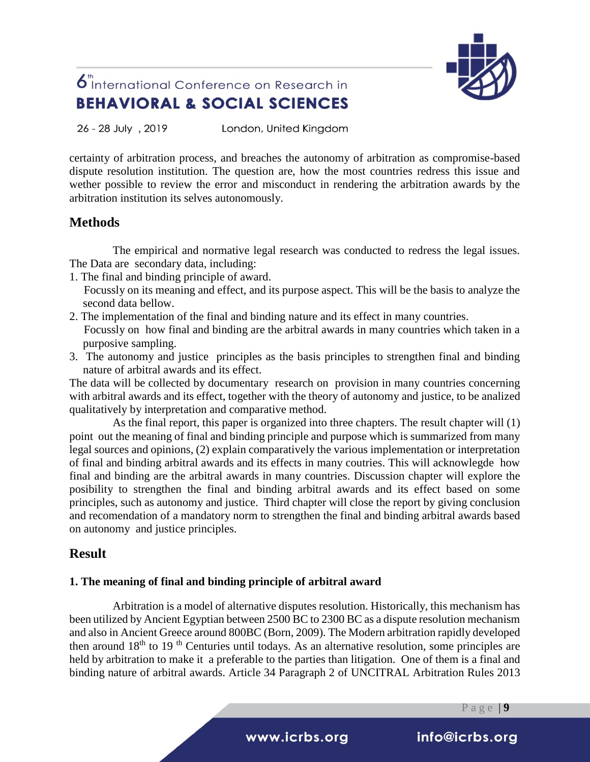

26 - 28 July, 2019 London, United Kingdom

certainty of arbitration process, and breaches the autonomy of arbitration as compromise-based dispute resolution institution. The question are, how the most countries redress this issue and wether possible to review the error and misconduct in rendering the arbitration awards by the arbitration institution its selves autonomously.

### **Methods**

The empirical and normative legal research was conducted to redress the legal issues. The Data are secondary data, including:

- 1. The final and binding principle of award.
	- Focussly on its meaning and effect, and its purpose aspect. This will be the basis to analyze the second data bellow.
- 2. The implementation of the final and binding nature and its effect in many countries. Focussly on how final and binding are the arbitral awards in many countries which taken in a purposive sampling.
- 3. The autonomy and justice principles as the basis principles to strengthen final and binding nature of arbitral awards and its effect.

The data will be collected by documentary research on provision in many countries concerning with arbitral awards and its effect, together with the theory of autonomy and justice, to be analized qualitatively by interpretation and comparative method.

As the final report, this paper is organized into three chapters. The result chapter will (1) point out the meaning of final and binding principle and purpose which is summarized from many legal sources and opinions, (2) explain comparatively the various implementation or interpretation of final and binding arbitral awards and its effects in many coutries. This will acknowlegde how final and binding are the arbitral awards in many countries. Discussion chapter will explore the posibility to strengthen the final and binding arbitral awards and its effect based on some principles, such as autonomy and justice. Third chapter will close the report by giving conclusion and recomendation of a mandatory norm to strengthen the final and binding arbitral awards based on autonomy and justice principles.

### **Result**

#### **1. The meaning of final and binding principle of arbitral award**

Arbitration is a model of alternative disputes resolution. Historically, this mechanism has been utilized by Ancient Egyptian between 2500 BC to 2300 BC as a dispute resolution mechanism and also in Ancient Greece around 800BC (Born, 2009). The Modern arbitration rapidly developed then around  $18<sup>th</sup>$  to  $19<sup>th</sup>$  Centuries until todays. As an alternative resolution, some principles are held by arbitration to make it a preferable to the parties than litigation. One of them is a final and binding nature of arbitral awards. Article 34 Paragraph 2 of UNCITRAL Arbitration Rules 2013

P a g e | **9**

i www.icrbs.org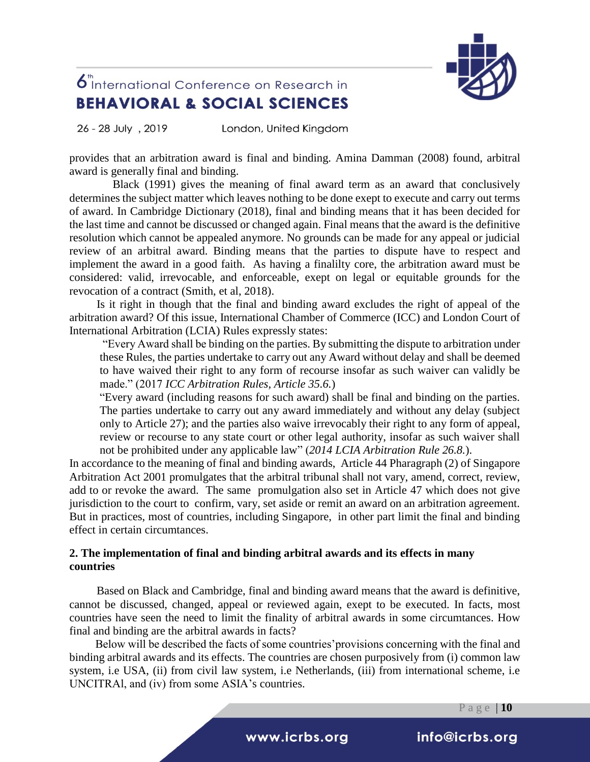

26 - 28 July, 2019 London, United Kingdom

provides that an arbitration award is final and binding. Amina Damman (2008) found, arbitral award is generally final and binding.

Black (1991) gives the meaning of final award term as an award that conclusively determines the subject matter which leaves nothing to be done exept to execute and carry out terms of award. In Cambridge Dictionary (2018), final and binding means that it has been decided for the last time and cannot be discussed or changed again. Final means that the award is the definitive resolution which cannot be appealed anymore. No grounds can be made for any appeal or judicial review of an arbitral award. Binding means that the parties to dispute have to respect and implement the award in a good faith. As having a finalilty core, the arbitration award must be considered: valid, irrevocable, and enforceable, exept on legal or equitable grounds for the revocation of a contract (Smith, et al, 2018).

Is it right in though that the final and binding award excludes the right of appeal of the arbitration award? Of this issue, International Chamber of Commerce (ICC) and London Court of International Arbitration (LCIA) Rules expressly states:

"Every Award shall be binding on the parties. By submitting the dispute to arbitration under these Rules, the parties undertake to carry out any Award without delay and shall be deemed to have waived their right to any form of recourse insofar as such waiver can validly be made." (2017 *ICC Arbitration Rules, Article 35.6.*)

"Every award (including reasons for such award) shall be final and binding on the parties. The parties undertake to carry out any award immediately and without any delay (subject only to Article 27); and the parties also waive irrevocably their right to any form of appeal, review or recourse to any state court or other legal authority, insofar as such waiver shall not be prohibited under any applicable law" (*2014 LCIA Arbitration Rule 26.8.*).

In accordance to the meaning of final and binding awards, Article 44 Pharagraph (2) of Singapore Arbitration Act 2001 promulgates that the arbitral tribunal shall not vary, amend, correct, review, add to or revoke the award. The same promulgation also set in Article 47 which does not give jurisdiction to the court to confirm, vary, set aside or remit an award on an arbitration agreement. But in practices, most of countries, including Singapore, in other part limit the final and binding effect in certain circumtances.

#### **2. The implementation of final and binding arbitral awards and its effects in many countries**

Based on Black and Cambridge, final and binding award means that the award is definitive, cannot be discussed, changed, appeal or reviewed again, exept to be executed. In facts, most countries have seen the need to limit the finality of arbitral awards in some circumtances. How final and binding are the arbitral awards in facts?

Below will be described the facts of some countries'provisions concerning with the final and binding arbitral awards and its effects. The countries are chosen purposively from (i) common law system, i.e USA, (ii) from civil law system, i.e Netherlands, (iii) from international scheme, i.e UNCITRAl, and (iv) from some ASIA's countries.

i www.icrbs.org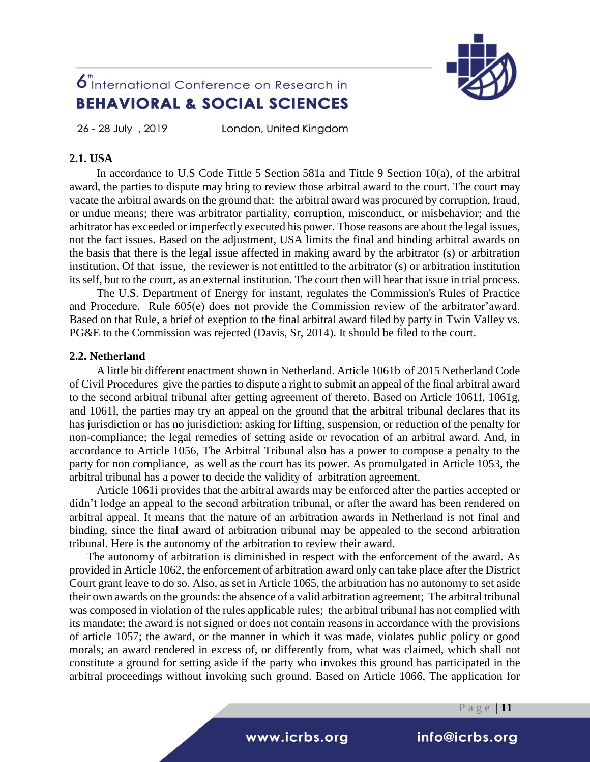

26 - 28 July, 2019

London, United Kingdom

#### **2.1. USA**

In accordance to U.S Code Tittle 5 Section 581a and Tittle 9 Section 10(a), of the arbitral award, the parties to dispute may bring to review those arbitral award to the court. The court may vacate the arbitral awards on the ground that: the arbitral award was procured by corruption, fraud, or undue means; there was arbitrator partiality, corruption, misconduct, or misbehavior; and the arbitrator has exceeded or imperfectly executed his power. Those reasons are about the legal issues, not the fact issues. Based on the adjustment, USA limits the final and binding arbitral awards on the basis that there is the legal issue affected in making award by the arbitrator (s) or arbitration institution. Of that issue, the reviewer is not entittled to the arbitrator (s) or arbitration institution its self, but to the court, as an external institution. The court then will hear that issue in trial process.

The U.S. Department of Energy for instant, regulates the Commission's Rules of Practice and Procedure. Rule 605(e) does not provide the Commission review of the arbitrator'award. Based on that Rule, a brief of exeption to the final arbitral award filed by party in Twin Valley vs. PG&E to the Commission was rejected (Davis, Sr, 2014). It should be filed to the court.

#### **2.2. Netherland**

A little bit different enactment shown in Netherland. Article 1061b of 2015 Netherland Code of Civil Procedures give the parties to dispute a right to submit an appeal of the final arbitral award to the second arbitral tribunal after getting agreement of thereto. Based on Article 1061f, 1061g, and 1061l, the parties may try an appeal on the ground that the arbitral tribunal declares that its has jurisdiction or has no jurisdiction; asking for lifting, suspension, or reduction of the penalty for non-compliance; the legal remedies of setting aside or revocation of an arbitral award. And, in accordance to Article 1056, The Arbitral Tribunal also has a power to compose a penalty to the party for non compliance, as well as the court has its power. As promulgated in Article 1053, the arbitral tribunal has a power to decide the validity of arbitration agreement.

Article 1061i provides that the arbitral awards may be enforced after the parties accepted or didn't lodge an appeal to the second arbitration tribunal, or after the award has been rendered on arbitral appeal. It means that the nature of an arbitration awards in Netherland is not final and binding, since the final award of arbitration tribunal may be appealed to the second arbitration tribunal. Here is the autonomy of the arbitration to review their award.

The autonomy of arbitration is diminished in respect with the enforcement of the award. As provided in Article 1062, the enforcement of arbitration award only can take place after the District Court grant leave to do so. Also, as set in Article 1065, the arbitration has no autonomy to set aside their own awards on the grounds: the absence of a valid arbitration agreement; The arbitral tribunal was composed in violation of the rules applicable rules; the arbitral tribunal has not complied with its mandate; the award is not signed or does not contain reasons in accordance with the provisions of article 1057; the award, or the manner in which it was made, violates public policy or good morals; an award rendered in excess of, or differently from, what was claimed, which shall not constitute a ground for setting aside if the party who invokes this ground has participated in the arbitral proceedings without invoking such ground. Based on Article 1066, The application for

P a g e | **11**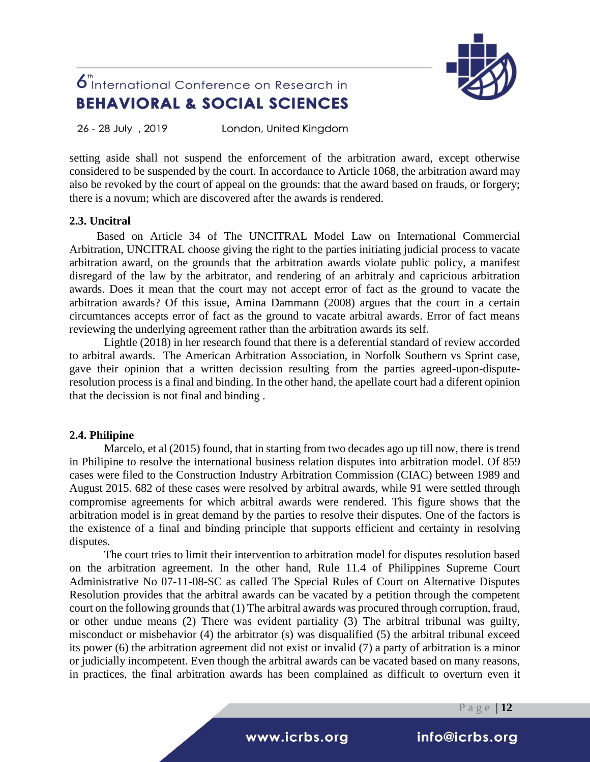

26 - 28 July , 2019 London, United Kingdom

setting aside shall not suspend the enforcement of the arbitration award, except otherwise considered to be suspended by the court. In accordance to Article 1068, the arbitration award may also be revoked by the court of appeal on the grounds: that the award based on frauds, or forgery; there is a novum; which are discovered after the awards is rendered.

#### **2.3. Uncitral**

Based on Article 34 of The UNCITRAL Model Law on International Commercial Arbitration, UNCITRAL choose giving the right to the parties initiating judicial process to vacate arbitration award, on the grounds that the arbitration awards violate public policy, a manifest disregard of the law by the arbitrator, and rendering of an arbitraly and capricious arbitration awards. Does it mean that the court may not accept error of fact as the ground to vacate the arbitration awards? Of this issue, Amina Dammann (2008) argues that the court in a certain circumtances accepts error of fact as the ground to vacate arbitral awards. Error of fact means reviewing the underlying agreement rather than the arbitration awards its self.

Lightle (2018) in her research found that there is a deferential standard of review accorded to arbitral awards. The American Arbitration Association, in Norfolk Southern vs Sprint case, gave their opinion that a written decission resulting from the parties agreed-upon-disputeresolution process is a final and binding. In the other hand, the apellate court had a diferent opinion that the decission is not final and binding .

#### **2.4. Philipine**

Marcelo, et al (2015) found, that in starting from two decades ago up till now, there is trend in Philipine to resolve the international business relation disputes into arbitration model. Of 859 cases were filed to the Construction Industry Arbitration Commission (CIAC) between 1989 and August 2015. 682 of these cases were resolved by arbitral awards, while 91 were settled through compromise agreements for which arbitral awards were rendered. This figure shows that the arbitration model is in great demand by the parties to resolve their disputes. One of the factors is the existence of a final and binding principle that supports efficient and certainty in resolving disputes.

The court tries to limit their intervention to arbitration model for disputes resolution based on the arbitration agreement. In the other hand, Rule 11.4 of Philippines Supreme Court Administrative No 07-11-08-SC as called The Special Rules of Court on Alternative Disputes Resolution provides that the arbitral awards can be vacated by a petition through the competent court on the following grounds that (1) The arbitral awards was procured through corruption, fraud, or other undue means (2) There was evident partiality (3) The arbitral tribunal was guilty, misconduct or misbehavior (4) the arbitrator (s) was disqualified (5) the arbitral tribunal exceed its power (6) the arbitration agreement did not exist or invalid (7) a party of arbitration is a minor or judicially incompetent. Even though the arbitral awards can be vacated based on many reasons, in practices, the final arbitration awards has been complained as difficult to overturn even it

P a g e | **12**

i www.icrbs.org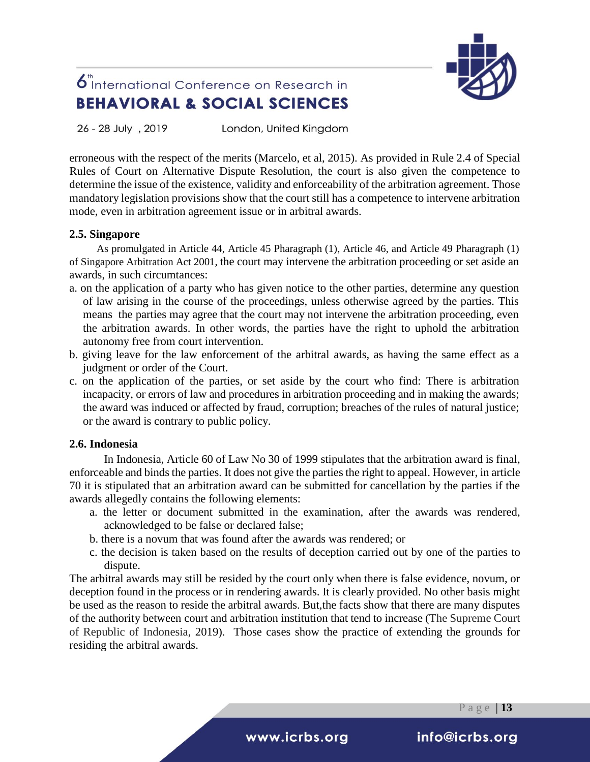

26 - 28 July, 2019 London, United Kingdom

erroneous with the respect of the merits (Marcelo, et al, 2015). As provided in Rule 2.4 of Special Rules of Court on Alternative Dispute Resolution, the court is also given the competence to determine the issue of the existence, validity and enforceability of the arbitration agreement. Those mandatory legislation provisions show that the court still has a competence to intervene arbitration mode, even in arbitration agreement issue or in arbitral awards.

#### **2.5. Singapore**

As promulgated in Article 44, Article 45 Pharagraph (1), Article 46, and Article 49 Pharagraph (1) of Singapore Arbitration Act 2001, the court may intervene the arbitration proceeding or set aside an awards, in such circumtances:

- a. on the application of a party who has given notice to the other parties, determine any question of law arising in the course of the proceedings, unless otherwise agreed by the parties. This means the parties may agree that the court may not intervene the arbitration proceeding, even the arbitration awards. In other words, the parties have the right to uphold the arbitration autonomy free from court intervention.
- b. giving leave for the law enforcement of the arbitral awards, as having the same effect as a judgment or order of the Court.
- c. on the application of the parties, or set aside by the court who find: There is arbitration incapacity, or errors of law and procedures in arbitration proceeding and in making the awards; the award was induced or affected by fraud, corruption; breaches of the rules of natural justice; or the award is contrary to public policy.

#### **2.6. Indonesia**

In Indonesia, Article 60 of Law No 30 of 1999 stipulates that the arbitration award is final, enforceable and binds the parties. It does not give the parties the right to appeal. However, in article 70 it is stipulated that an arbitration award can be submitted for cancellation by the parties if the awards allegedly contains the following elements:

- a. the letter or document submitted in the examination, after the awards was rendered, acknowledged to be false or declared false;
- b. there is a novum that was found after the awards was rendered; or
- c. the decision is taken based on the results of deception carried out by one of the parties to dispute.

The arbitral awards may still be resided by the court only when there is false evidence, novum, or deception found in the process or in rendering awards. It is clearly provided. No other basis might be used as the reason to reside the arbitral awards. But,the facts show that there are many disputes of the authority between court and arbitration institution that tend to increase (The Supreme Court of Republic of Indonesia, 2019). Those cases show the practice of extending the grounds for residing the arbitral awards.

P a g e | **13**

i www.icrbs.org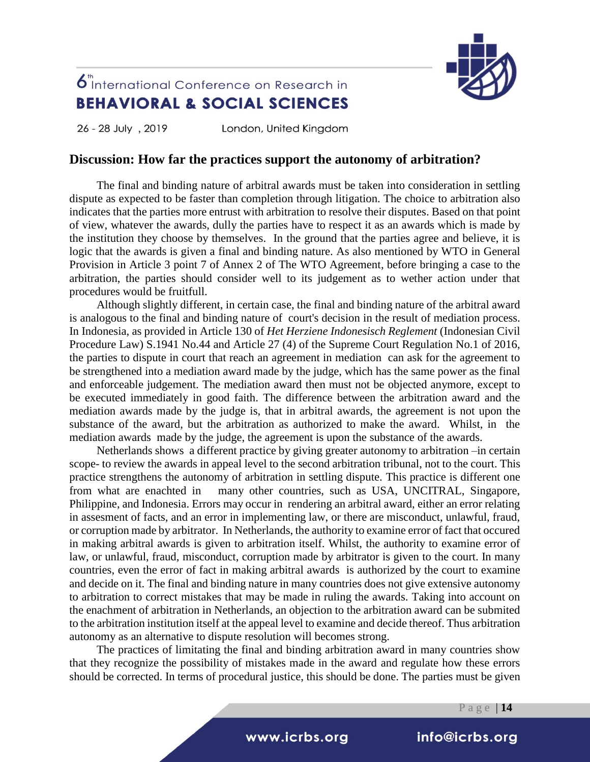

26 - 28 July, 2019 London, United Kingdom

### **Discussion: How far the practices support the autonomy of arbitration?**

The final and binding nature of arbitral awards must be taken into consideration in settling dispute as expected to be faster than completion through litigation. The choice to arbitration also indicates that the parties more entrust with arbitration to resolve their disputes. Based on that point of view, whatever the awards, dully the parties have to respect it as an awards which is made by the institution they choose by themselves. In the ground that the parties agree and believe, it is logic that the awards is given a final and binding nature. As also mentioned by WTO in General Provision in Article 3 point 7 of Annex 2 of The WTO Agreement, before bringing a case to the arbitration, the parties should consider well to its judgement as to wether action under that procedures would be fruitfull.

Although slightly different, in certain case, the final and binding nature of the arbitral award is analogous to the final and binding nature of court's decision in the result of mediation process. In Indonesia, as provided in Article 130 of *Het Herziene Indonesisch Reglement* (Indonesian Civil Procedure Law) S.1941 No.44 and Article 27 (4) of the Supreme Court Regulation No.1 of 2016, the parties to dispute in court that reach an agreement in mediation can ask for the agreement to be strengthened into a mediation award made by the judge, which has the same power as the final and enforceable judgement. The mediation award then must not be objected anymore, except to be executed immediately in good faith. The difference between the arbitration award and the mediation awards made by the judge is, that in arbitral awards, the agreement is not upon the substance of the award, but the arbitration as authorized to make the award. Whilst, in the mediation awards made by the judge, the agreement is upon the substance of the awards.

Netherlands shows a different practice by giving greater autonomy to arbitration –in certain scope- to review the awards in appeal level to the second arbitration tribunal, not to the court. This practice strengthens the autonomy of arbitration in settling dispute. This practice is different one from what are enachted in many other countries, such as USA, UNCITRAL, Singapore, Philippine, and Indonesia. Errors may occur in rendering an arbitral award, either an error relating in assesment of facts, and an error in implementing law, or there are misconduct, unlawful, fraud, or corruption made by arbitrator. In Netherlands, the authority to examine error of fact that occured in making arbitral awards is given to arbitration itself. Whilst, the authority to examine error of law, or unlawful, fraud, misconduct, corruption made by arbitrator is given to the court. In many countries, even the error of fact in making arbitral awards is authorized by the court to examine and decide on it. The final and binding nature in many countries does not give extensive autonomy to arbitration to correct mistakes that may be made in ruling the awards. Taking into account on the enachment of arbitration in Netherlands, an objection to the arbitration award can be submited to the arbitration institution itself at the appeal level to examine and decide thereof. Thus arbitration autonomy as an alternative to dispute resolution will becomes strong.

The practices of limitating the final and binding arbitration award in many countries show that they recognize the possibility of mistakes made in the award and regulate how these errors should be corrected. In terms of procedural justice, this should be done. The parties must be given

P a g e | **14**

### i www.icrbs.org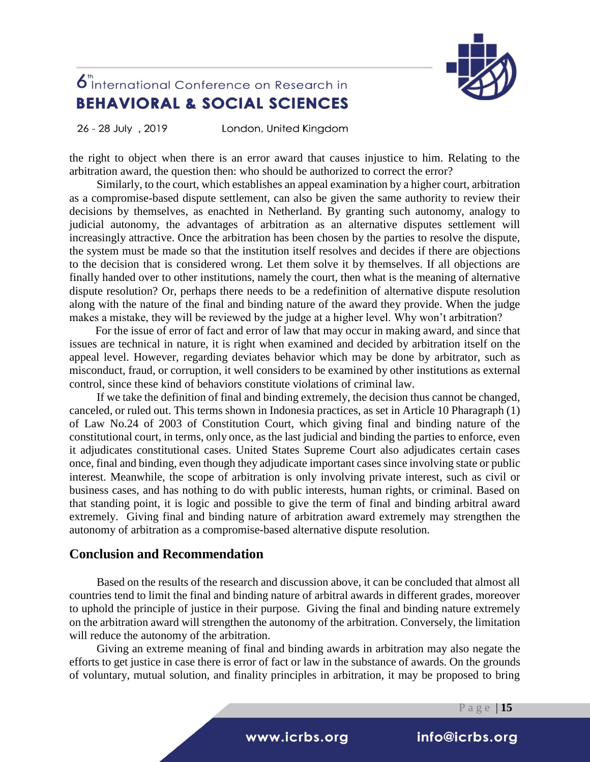

26 - 28 July , 2019

London, United Kingdom

the right to object when there is an error award that causes injustice to him. Relating to the arbitration award, the question then: who should be authorized to correct the error?

Similarly, to the court, which establishes an appeal examination by a higher court, arbitration as a compromise-based dispute settlement, can also be given the same authority to review their decisions by themselves, as enachted in Netherland. By granting such autonomy, analogy to judicial autonomy, the advantages of arbitration as an alternative disputes settlement will increasingly attractive. Once the arbitration has been chosen by the parties to resolve the dispute, the system must be made so that the institution itself resolves and decides if there are objections to the decision that is considered wrong. Let them solve it by themselves. If all objections are finally handed over to other institutions, namely the court, then what is the meaning of alternative dispute resolution? Or, perhaps there needs to be a redefinition of alternative dispute resolution along with the nature of the final and binding nature of the award they provide. When the judge makes a mistake, they will be reviewed by the judge at a higher level. Why won't arbitration?

For the issue of error of fact and error of law that may occur in making award, and since that issues are technical in nature, it is right when examined and decided by arbitration itself on the appeal level. However, regarding deviates behavior which may be done by arbitrator, such as misconduct, fraud, or corruption, it well considers to be examined by other institutions as external control, since these kind of behaviors constitute violations of criminal law.

If we take the definition of final and binding extremely, the decision thus cannot be changed, canceled, or ruled out. This terms shown in Indonesia practices, as set in Article 10 Pharagraph (1) of Law No.24 of 2003 of Constitution Court, which giving final and binding nature of the constitutional court, in terms, only once, as the last judicial and binding the parties to enforce, even it adjudicates constitutional cases. United States Supreme Court also adjudicates certain cases once, final and binding, even though they adjudicate important cases since involving state or public interest. Meanwhile, the scope of arbitration is only involving private interest, such as civil or business cases, and has nothing to do with public interests, human rights, or criminal. Based on that standing point, it is logic and possible to give the term of final and binding arbitral award extremely. Giving final and binding nature of arbitration award extremely may strengthen the autonomy of arbitration as a compromise-based alternative dispute resolution.

### **Conclusion and Recommendation**

Based on the results of the research and discussion above, it can be concluded that almost all countries tend to limit the final and binding nature of arbitral awards in different grades, moreover to uphold the principle of justice in their purpose. Giving the final and binding nature extremely on the arbitration award will strengthen the autonomy of the arbitration. Conversely, the limitation will reduce the autonomy of the arbitration.

Giving an extreme meaning of final and binding awards in arbitration may also negate the efforts to get justice in case there is error of fact or law in the substance of awards. On the grounds of voluntary, mutual solution, and finality principles in arbitration, it may be proposed to bring

P a g e | **15**

i www.icrbs.org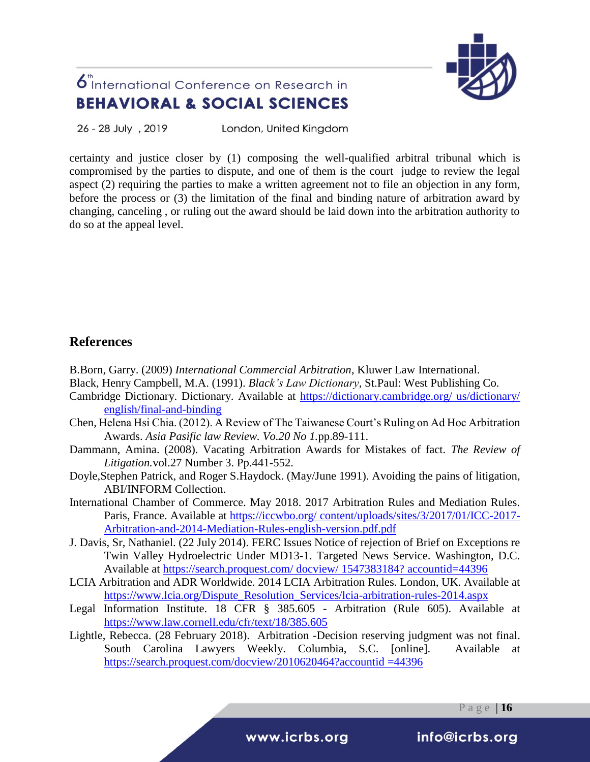

26 - 28 July, 2019 London, United Kingdom

certainty and justice closer by (1) composing the well-qualified arbitral tribunal which is compromised by the parties to dispute, and one of them is the court judge to review the legal aspect (2) requiring the parties to make a written agreement not to file an objection in any form, before the process or (3) the limitation of the final and binding nature of arbitration award by changing, canceling , or ruling out the award should be laid down into the arbitration authority to do so at the appeal level.

### **References**

B.Born, Garry. (2009) *International Commercial Arbitration*, Kluwer Law International.

- Black, Henry Campbell, M.A. (1991). *Black's Law Dictionary*, St.Paul: West Publishing Co.
- Cambridge Dictionary. Dictionary. Available at [https://dictionary.cambridge.org/ us/dictionary/](https://dictionary.cambridge.org/%20us/dictionary/%20english/final-and-binding)  [english/final-and-binding](https://dictionary.cambridge.org/%20us/dictionary/%20english/final-and-binding)
- Chen, Helena Hsi Chia. (2012). A Review of The Taiwanese Court's Ruling on Ad Hoc Arbitration Awards. *Asia Pasific law Review. Vo.20 No 1.*pp.89-111.
- Dammann, Amina. (2008). Vacating Arbitration Awards for Mistakes of fact. *The Review of Litigation.*vol.27 Number 3. Pp.441-552.
- Doyle,Stephen Patrick, and Roger S.Haydock. (May/June 1991). Avoiding the pains of litigation, ABI/INFORM Collection.
- International Chamber of Commerce. May 2018. 2017 Arbitration Rules and Mediation Rules. Paris, France. Available at [https://iccwbo.org/ content/uploads/sites/3/2017/01/ICC-2017-](https://iccwbo.org/%20content/uploads/sites/3/2017/01/ICC-2017-Arbitration-and-2014-Mediation-Rules-english-version.pdf.pdf) [Arbitration-and-2014-Mediation-Rules-english-version.pdf.pdf](https://iccwbo.org/%20content/uploads/sites/3/2017/01/ICC-2017-Arbitration-and-2014-Mediation-Rules-english-version.pdf.pdf)
- J. Davis, Sr, Nathaniel. (22 July 2014). FERC Issues Notice of rejection of Brief on Exceptions re Twin Valley Hydroelectric Under MD13-1. Targeted News Service. Washington, D.C. Available at [https://search.proquest.com/ docview/ 1547383184? accountid=44396](https://search.proquest.com/%20docview/%201547383184?%20accountid=44396)
- LCIA Arbitration and ADR Worldwide. 2014 LCIA Arbitration Rules. London, UK. Available at [https://www.lcia.org/Dispute\\_Resolution\\_Services/lcia-arbitration-rules-2014.aspx](https://www.lcia.org/Dispute_Resolution_Services/lcia-arbitration-rules-2014.aspx)
- Legal Information Institute. 18 CFR § 385.605 Arbitration (Rule 605). Available at <https://www.law.cornell.edu/cfr/text/18/385.605>
- Lightle, Rebecca. (28 February 2018). Arbitration -Decision reserving judgment was not final. South Carolina Lawyers Weekly. Columbia, S.C. [online]. Available at [https://search.proquest.com/docview/2010620464?accountid](https://search.proquest.com/docview/2010620464?accountid%20=44396) =44396

P a g e | **16**

i www.icrbs.org